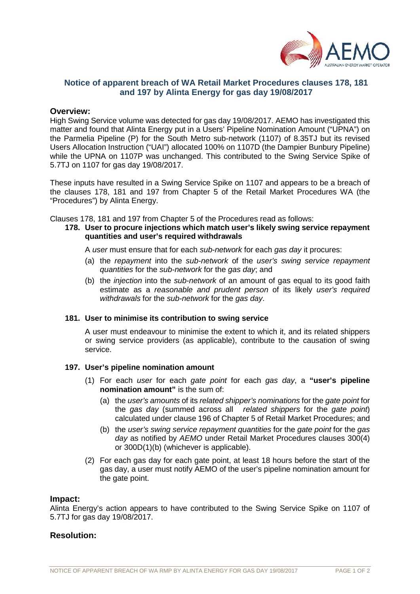

# **Notice of apparent breach of WA Retail Market Procedures clauses 178, 181 and 197 by Alinta Energy for gas day 19/08/2017**

### **Overview:**

High Swing Service volume was detected for gas day 19/08/2017. AEMO has investigated this matter and found that Alinta Energy put in a Users' Pipeline Nomination Amount ("UPNA") on the Parmelia Pipeline (P) for the South Metro sub-network (1107) of 8.35TJ but its revised Users Allocation Instruction ("UAI") allocated 100% on 1107D (the Dampier Bunbury Pipeline) while the UPNA on 1107P was unchanged. This contributed to the Swing Service Spike of 5.7TJ on 1107 for gas day 19/08/2017.

These inputs have resulted in a Swing Service Spike on 1107 and appears to be a breach of the clauses 178, 181 and 197 from Chapter 5 of the Retail Market Procedures WA (the "Procedures") by Alinta Energy.

Clauses 178, 181 and 197 from Chapter 5 of the Procedures read as follows:

**178. User to procure injections which match user's likely swing service repayment quantities and user's required withdrawals**

A *user* must ensure that for each *sub-network* for each *gas day* it procures:

- (a) the *repayment* into the *sub-network* of the *user's swing service repayment quantities* for the *sub-network* for the *gas day*; and
- (b) the *injection* into the *sub-network* of an amount of gas equal to its good faith estimate as a *reasonable and prudent person* of its likely *user's required withdrawals* for the *sub-network* for the *gas day*.

#### **181. User to minimise its contribution to swing service**

A user must endeavour to minimise the extent to which it, and its related shippers or swing service providers (as applicable), contribute to the causation of swing service.

#### **197. User's pipeline nomination amount**

- (1) For each *user* for each *gate point* for each *gas day*, a **"user's pipeline nomination amount"** is the sum of:
	- (a) the *user's amounts* of its *related shipper's nominations* for the *gate point* for the *gas day* (summed across all *related shippers* for the *gate point*) calculated under clause 196 of Chapter 5 of Retail Market Procedures; and
	- (b) the *user's swing service repayment quantities* for the *gate point* for the *gas day* as notified by *AEMO* under Retail Market Procedures clauses 300(4) or 300D(1)(b) (whichever is applicable).
- (2) For each gas day for each gate point, at least 18 hours before the start of the gas day, a user must notify AEMO of the user's pipeline nomination amount for the gate point.

#### **Impact:**

Alinta Energy's action appears to have contributed to the Swing Service Spike on 1107 of 5.7TJ for gas day 19/08/2017.

## **Resolution:**